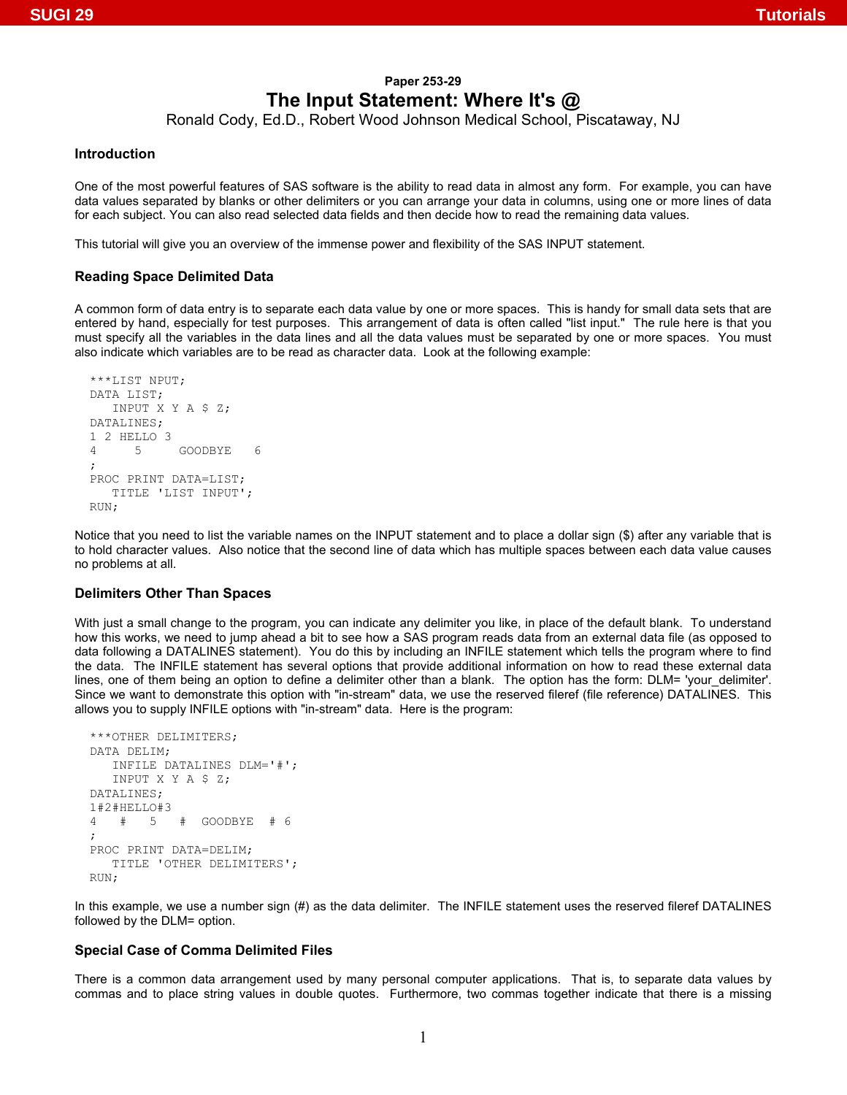# **Paper 253-29 The Input Statement: Where It's @**

Ronald Cody, Ed.D., Robert Wood Johnson Medical School, Piscataway, NJ

### **Introduction**

One of the most powerful features of SAS software is the ability to read data in almost any form. For example, you can have data values separated by blanks or other delimiters or you can arrange your data in columns, using one or more lines of data for each subject. You can also read selected data fields and then decide how to read the remaining data values.

This tutorial will give you an overview of the immense power and flexibility of the SAS INPUT statement.

#### **Reading Space Delimited Data**

A common form of data entry is to separate each data value by one or more spaces. This is handy for small data sets that are entered by hand, especially for test purposes. This arrangement of data is often called "list input." The rule here is that you must specify all the variables in the data lines and all the data values must be separated by one or more spaces. You must also indicate which variables are to be read as character data. Look at the following example:

```
***LIST NPUT; 
DATA LIST; 
   INPUT X Y A $ Z; 
DATALINES; 
1 2 HELLO 3 
4 5 GOODBYE 6 
; 
PROC PRINT DATA=LIST; 
   TITLE 'LIST INPUT'; 
RUN;
```
Notice that you need to list the variable names on the INPUT statement and to place a dollar sign (\$) after any variable that is to hold character values. Also notice that the second line of data which has multiple spaces between each data value causes no problems at all.

#### **Delimiters Other Than Spaces**

With just a small change to the program, you can indicate any delimiter you like, in place of the default blank. To understand how this works, we need to jump ahead a bit to see how a SAS program reads data from an external data file (as opposed to data following a DATALINES statement). You do this by including an INFILE statement which tells the program where to find the data. The INFILE statement has several options that provide additional information on how to read these external data lines, one of them being an option to define a delimiter other than a blank. The option has the form: DLM= 'your\_delimiter'. Since we want to demonstrate this option with "in-stream" data, we use the reserved fileref (file reference) DATALINES. This allows you to supply INFILE options with "in-stream" data. Here is the program:

```
***OTHER DELIMITERS; 
DATA DELIM; 
    INFILE DATALINES DLM='#'; 
    INPUT X Y A $ Z; 
DATALINES; 
1#2#HELLO#3 
4 # 5 # GOODBYE # 6 
; 
PROC PRINT DATA=DELIM; 
    TITLE 'OTHER DELIMITERS'; 
RIIN:
```
In this example, we use a number sign (#) as the data delimiter. The INFILE statement uses the reserved fileref DATALINES followed by the DLM= option.

### **Special Case of Comma Delimited Files**

There is a common data arrangement used by many personal computer applications. That is, to separate data values by commas and to place string values in double quotes. Furthermore, two commas together indicate that there is a missing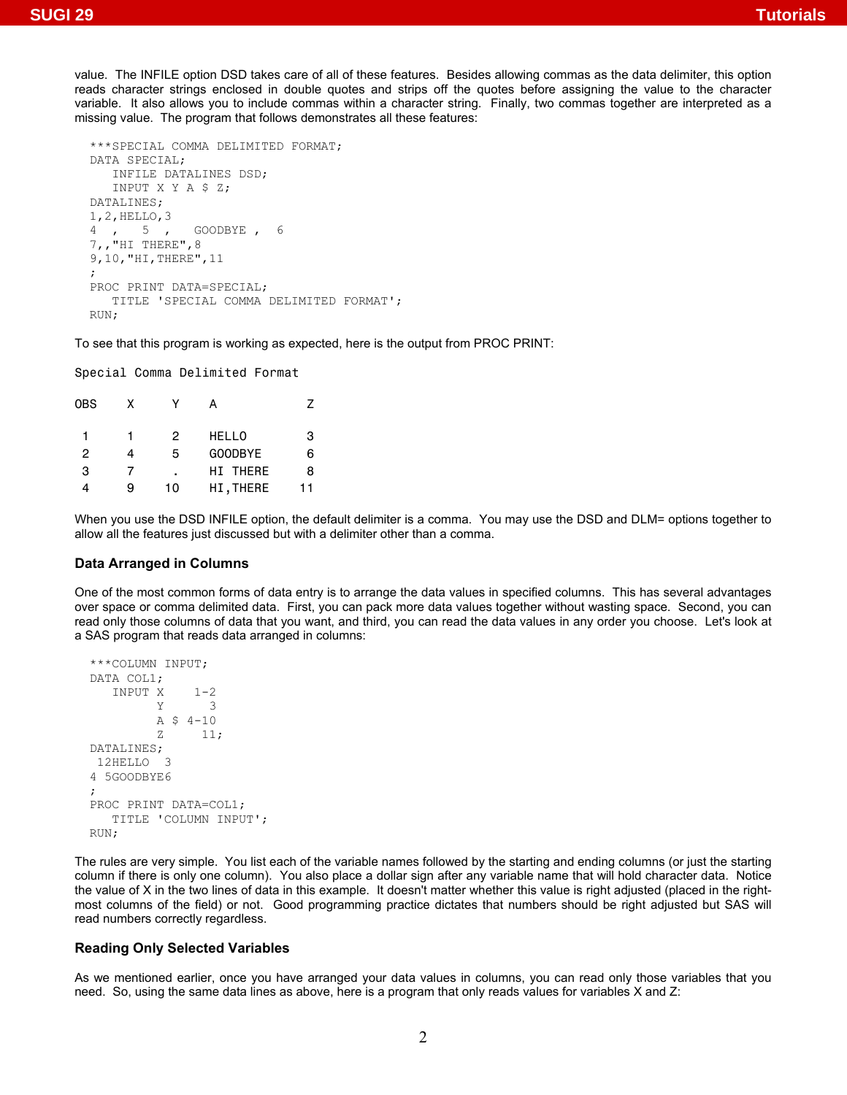value. The INFILE option DSD takes care of all of these features. Besides allowing commas as the data delimiter, this option reads character strings enclosed in double quotes and strips off the quotes before assigning the value to the character variable. It also allows you to include commas within a character string. Finally, two commas together are interpreted as a missing value. The program that follows demonstrates all these features:

```
***SPECIAL COMMA DELIMITED FORMAT; 
DATA SPECIAL; 
    INFILE DATALINES DSD; 
    INPUT X Y A $ Z; 
DATALINES; 
1, 2, \text{HELLO}, 3<br>4, 5,
               GOODBYE, 6
7,,"HI THERE",8 
9,10,"HI,THERE",11 
; 
PROC PRINT DATA=SPECIAL; 
    TITLE 'SPECIAL COMMA DELIMITED FORMAT'; 
RUN;
```
To see that this program is working as expected, here is the output from PROC PRINT:

Special Comma Delimited Format

| x |    |                 |    |
|---|----|-----------------|----|
|   | 2  | <b>HELLO</b>    | 3  |
| 4 | 5  | GOODBYE         | 6  |
|   | ٠  | <b>HI THERE</b> | 8  |
| я | 10 | HI, THERE       | 11 |
|   |    |                 |    |

When you use the DSD INFILE option, the default delimiter is a comma. You may use the DSD and DLM= options together to allow all the features just discussed but with a delimiter other than a comma.

## **Data Arranged in Columns**

One of the most common forms of data entry is to arrange the data values in specified columns. This has several advantages over space or comma delimited data. First, you can pack more data values together without wasting space. Second, you can read only those columns of data that you want, and third, you can read the data values in any order you choose. Let's look at a SAS program that reads data arranged in columns:

```
***COLUMN INPUT; 
DATA COL1; 
     \begin{array}{ccc}\n\text{INPUT} & \text{X} & 1-2 \\
\text{Y} & \text{3}\n\end{array}\overline{\mathcal{A}}A \, S \, 4-10z 11;
DATALINES; 
  12HELLO 3 
4 5GOODBYE6 
; 
PROC PRINT DATA=COL1; 
     TITLE 'COLUMN INPUT'; 
RUN;
```
The rules are very simple. You list each of the variable names followed by the starting and ending columns (or just the starting column if there is only one column). You also place a dollar sign after any variable name that will hold character data. Notice the value of X in the two lines of data in this example. It doesn't matter whether this value is right adjusted (placed in the rightmost columns of the field) or not. Good programming practice dictates that numbers should be right adjusted but SAS will read numbers correctly regardless.

#### **Reading Only Selected Variables**

As we mentioned earlier, once you have arranged your data values in columns, you can read only those variables that you need. So, using the same data lines as above, here is a program that only reads values for variables X and Z: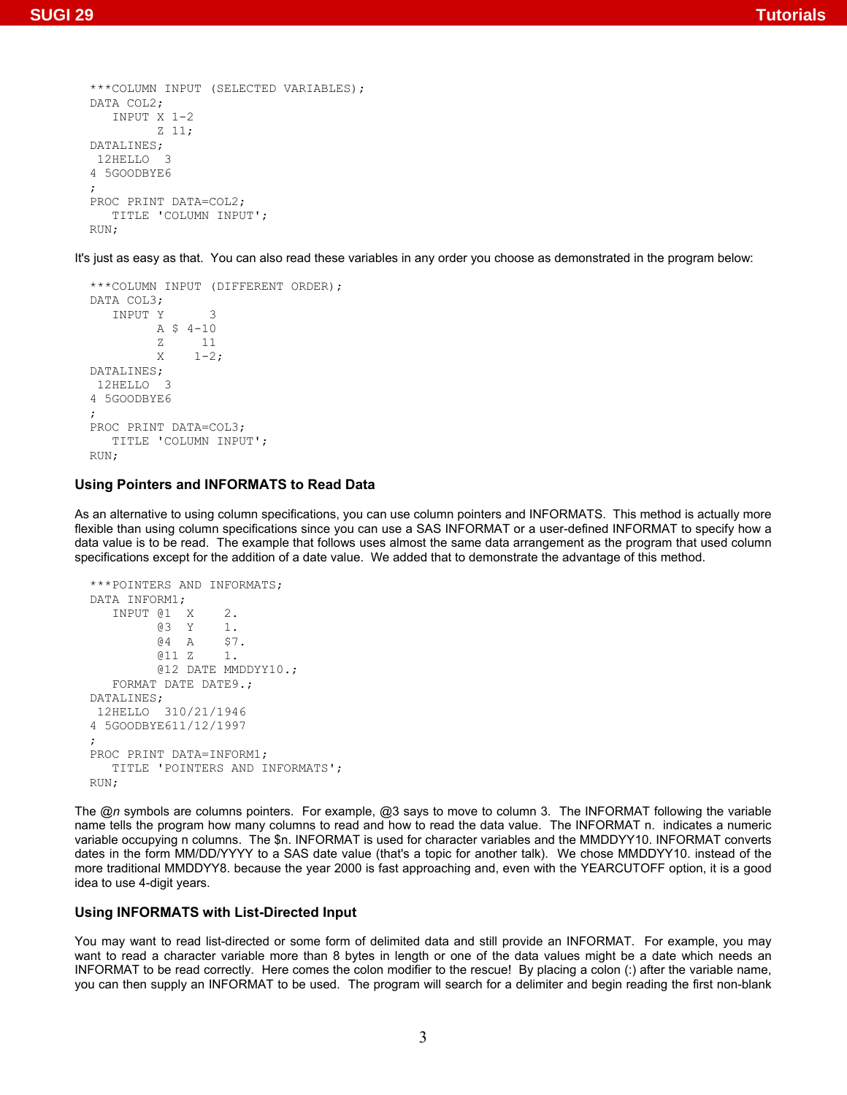```
***COLUMN INPUT (SELECTED VARIABLES); 
DATA COL2; 
    INPUT X 1-2 
           Z 11; 
DATALINES; 
 12HELLO 3 
4 5GOODBYE6 
; 
PROC PRINT DATA=COL2; 
    TITLE 'COLUMN INPUT'; 
RUN;
```
It's just as easy as that. You can also read these variables in any order you choose as demonstrated in the program below:

```
***COLUMN INPUT (DIFFERENT ORDER); 
DATA COL3; 
   INPUT Y 3 
          A $ 4-10 
          Z 11 
         X = 1-2;DATALINES; 
 12HELLO 3 
4 5GOODBYE6 
; 
PROC PRINT DATA=COL3; 
   TITLE 'COLUMN INPUT'; 
RUN;
```
## **Using Pointers and INFORMATS to Read Data**

As an alternative to using column specifications, you can use column pointers and INFORMATS. This method is actually more flexible than using column specifications since you can use a SAS INFORMAT or a user-defined INFORMAT to specify how a data value is to be read. The example that follows uses almost the same data arrangement as the program that used column specifications except for the addition of a date value. We added that to demonstrate the advantage of this method.

```
***POINTERS AND INFORMATS; 
DATA INFORM1; 
    INPUT @1 X 2. 
          @3 Y 1. 
          @4 A $7. 
          @11 Z 1. 
          @12 DATE MMDDYY10.; 
    FORMAT DATE DATE9.; 
DATALINES; 
 12HELLO 310/21/1946 
4 5GOODBYE611/12/1997 
; 
PROC PRINT DATA=INFORM1; 
   TITLE 'POINTERS AND INFORMATS'; 
RUN;
```
The @*n* symbols are columns pointers. For example, @3 says to move to column 3. The INFORMAT following the variable name tells the program how many columns to read and how to read the data value. The INFORMAT n. indicates a numeric variable occupying n columns. The \$n. INFORMAT is used for character variables and the MMDDYY10. INFORMAT converts dates in the form MM/DD/YYYY to a SAS date value (that's a topic for another talk). We chose MMDDYY10. instead of the more traditional MMDDYY8. because the year 2000 is fast approaching and, even with the YEARCUTOFF option, it is a good idea to use 4-digit years.

## **Using INFORMATS with List-Directed Input**

You may want to read list-directed or some form of delimited data and still provide an INFORMAT. For example, you may want to read a character variable more than 8 bytes in length or one of the data values might be a date which needs an INFORMAT to be read correctly. Here comes the colon modifier to the rescue! By placing a colon (:) after the variable name, you can then supply an INFORMAT to be used. The program will search for a delimiter and begin reading the first non-blank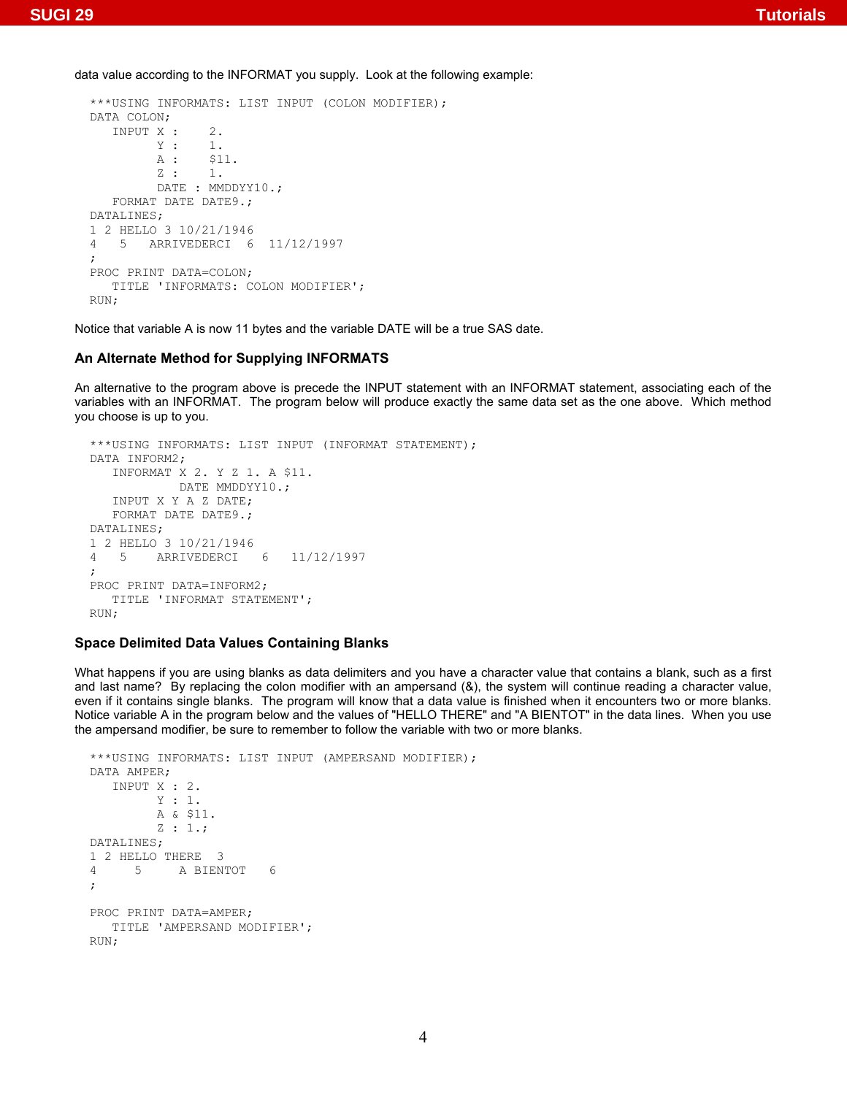data value according to the INFORMAT you supply. Look at the following example:

```
***USING INFORMATS: LIST INPUT (COLON MODIFIER); 
DATA COLON; 
  INPUT X : 2.
         Y : 1.<br>A : $1
                $11.z : 1.
         DATE : MMDDYY10.;
    FORMAT DATE DATE9.; 
DATALINES; 
1 2 HELLO 3 10/21/1946 
4 5 ARRIVEDERCI 6 11/12/1997 
; 
PROC PRINT DATA=COLON; 
    TITLE 'INFORMATS: COLON MODIFIER'; 
RUN;
```
Notice that variable A is now 11 bytes and the variable DATE will be a true SAS date.

## **An Alternate Method for Supplying INFORMATS**

An alternative to the program above is precede the INPUT statement with an INFORMAT statement, associating each of the variables with an INFORMAT. The program below will produce exactly the same data set as the one above. Which method you choose is up to you.

```
***USING INFORMATS: LIST INPUT (INFORMAT STATEMENT); 
DATA INFORM2; 
   INFORMAT X 2. Y Z 1. A $11. 
             DATE MMDDYY10.; 
   INPUT X Y A Z DATE; 
   FORMAT DATE DATE9.; 
DATALINES; 
1 2 HELLO 3 10/21/1946 
4 5 ARRIVEDERCI 6 11/12/1997 
; 
PROC PRINT DATA=INFORM2; 
   TITLE 'INFORMAT STATEMENT'; 
RIIN:
```
## **Space Delimited Data Values Containing Blanks**

What happens if you are using blanks as data delimiters and you have a character value that contains a blank, such as a first and last name? By replacing the colon modifier with an ampersand (&), the system will continue reading a character value, even if it contains single blanks. The program will know that a data value is finished when it encounters two or more blanks. Notice variable A in the program below and the values of "HELLO THERE" and "A BIENTOT" in the data lines. When you use the ampersand modifier, be sure to remember to follow the variable with two or more blanks.

```
***USING INFORMATS: LIST INPUT (AMPERSAND MODIFIER); 
DATA AMPER; 
    INPUT X : 2. 
          Y : 1. 
          A & $11. 
          Z : 1.; 
DATALINES; 
1 2 HELLO THERE 3 
4 5 A BIENTOT 6 
; 
PROC PRINT DATA=AMPER; 
    TITLE 'AMPERSAND MODIFIER'; 
RIIN:
```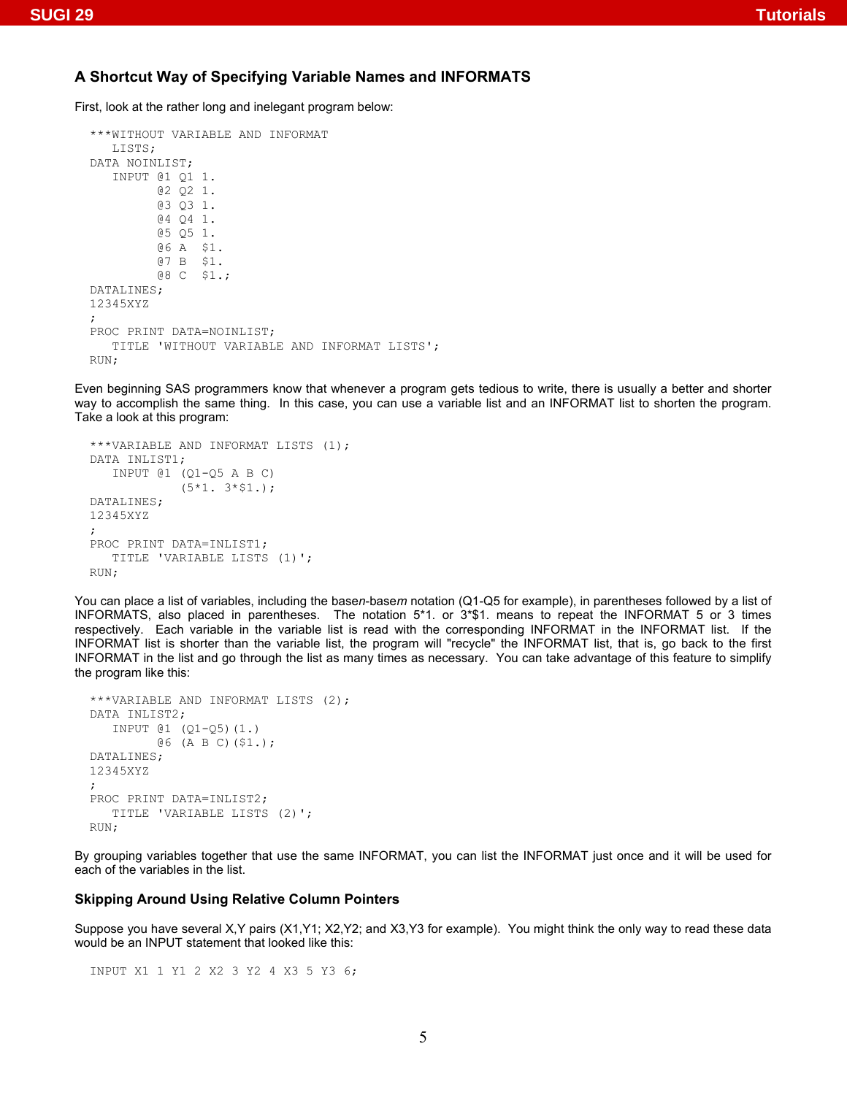## **A Shortcut Way of Specifying Variable Names and INFORMATS**

First, look at the rather long and inelegant program below:

```
***WITHOUT VARIABLE AND INFORMAT 
    LISTS; 
DATA NOINLIST; 
    INPUT @1 Q1 1. 
           @2 Q2 1. 
           @3 Q3 1. 
           @4 Q4 1. 
           @5 Q5 1. 
           @6 A $1. 
           @7 B $1. 
           @8 C $1.; 
DATALINES; 
12345XYZ 
; 
PROC PRINT DATA=NOINLIST; 
    TITLE 'WITHOUT VARIABLE AND INFORMAT LISTS'; 
RUN;
```
Even beginning SAS programmers know that whenever a program gets tedious to write, there is usually a better and shorter way to accomplish the same thing. In this case, you can use a variable list and an INFORMAT list to shorten the program. Take a look at this program:

```
***VARIABLE AND INFORMAT LISTS (1); 
DATA INLIST1; 
    INPUT @1 (Q1-Q5 A B C) 
              (5*1. 3*$1.); 
DATALINES; 
12345XYZ 
; 
PROC PRINT DATA=INLIST1; 
    TITLE 'VARIABLE LISTS (1)'; 
RUN;
```
You can place a list of variables, including the base*n*-base*m* notation (Q1-Q5 for example), in parentheses followed by a list of INFORMATS, also placed in parentheses. The notation 5\*1. or 3\*\$1. means to repeat the INFORMAT 5 or 3 times respectively. Each variable in the variable list is read with the corresponding INFORMAT in the INFORMAT list. If the INFORMAT list is shorter than the variable list, the program will "recycle" the INFORMAT list, that is, go back to the first INFORMAT in the list and go through the list as many times as necessary. You can take advantage of this feature to simplify the program like this:

```
***VARIABLE AND INFORMAT LISTS (2); 
DATA INLIST2; 
    INPUT @1 (Q1-Q5)(1.) 
         @6 (A B C)($1.); 
DATALINES; 
12345XYZ 
; 
PROC PRINT DATA=INLIST2; 
    TITLE 'VARIABLE LISTS (2)'; 
RUN;
```
By grouping variables together that use the same INFORMAT, you can list the INFORMAT just once and it will be used for each of the variables in the list.

### **Skipping Around Using Relative Column Pointers**

Suppose you have several X,Y pairs (X1,Y1; X2,Y2; and X3,Y3 for example). You might think the only way to read these data would be an INPUT statement that looked like this:

INPUT X1 1 Y1 2 X2 3 Y2 4 X3 5 Y3 6;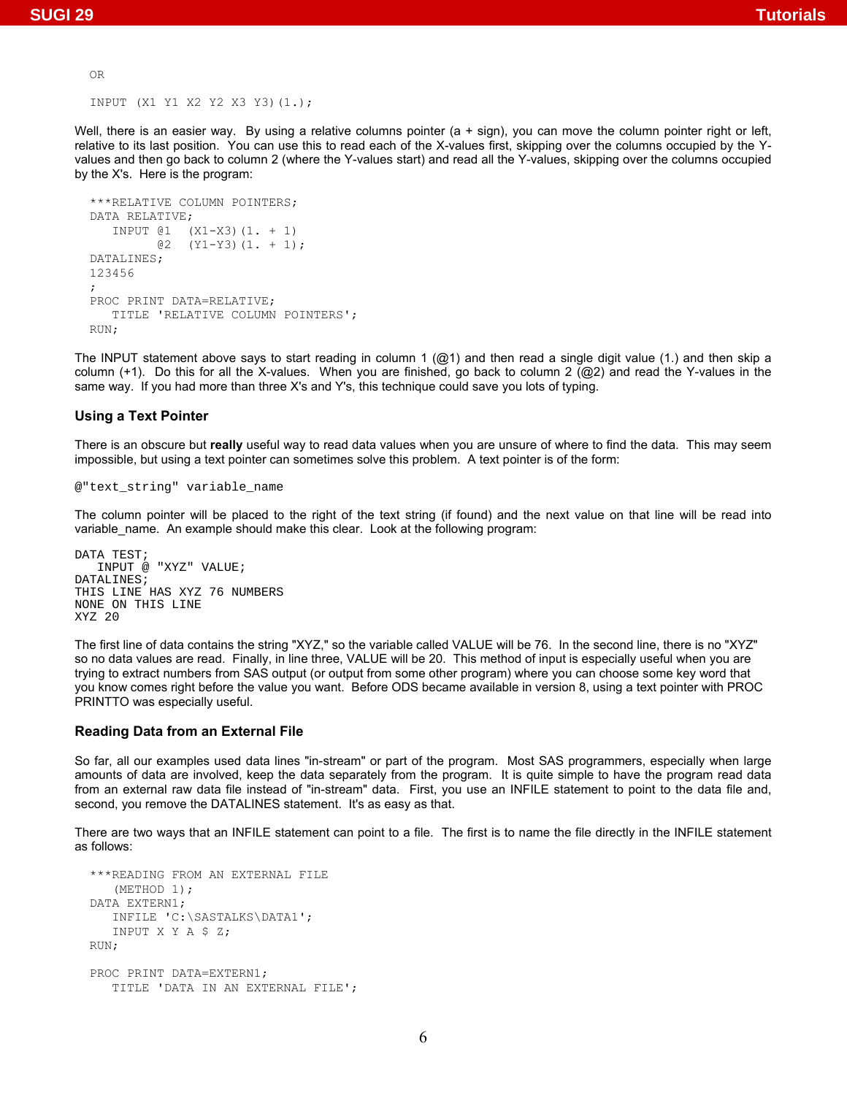OR

INPUT (X1 Y1 X2 Y2 X3 Y3)(1.);

Well, there is an easier way. By using a relative columns pointer (a + sign), you can move the column pointer right or left, relative to its last position. You can use this to read each of the X-values first, skipping over the columns occupied by the Yvalues and then go back to column 2 (where the Y-values start) and read all the Y-values, skipping over the columns occupied by the X's. Here is the program:

```
***RELATIVE COLUMN POINTERS; 
DATA RELATIVE; 
    INPUT @1 (X1-X3)(1. + 1) 
        (2)(Y1-Y3)(1. + 1);DATALINES; 
123456 
; 
PROC PRINT DATA=RELATIVE; 
    TITLE 'RELATIVE COLUMN POINTERS'; 
RUN;
```
The INPUT statement above says to start reading in column 1 ( $@1$ ) and then read a single digit value (1.) and then skip a column  $(+1)$ . Do this for all the X-values. When you are finished, go back to column 2 ( $@2$ ) and read the Y-values in the same way. If you had more than three X's and Y's, this technique could save you lots of typing.

#### **Using a Text Pointer**

There is an obscure but **really** useful way to read data values when you are unsure of where to find the data. This may seem impossible, but using a text pointer can sometimes solve this problem. A text pointer is of the form:

#### @"text\_string" variable\_name

The column pointer will be placed to the right of the text string (if found) and the next value on that line will be read into variable name. An example should make this clear. Look at the following program:

```
DATA TEST; 
    INPUT @ "XYZ" VALUE; 
DATALINES; 
THIS LINE HAS XYZ 76 NUMBERS 
NONE ON THIS LINE 
XYZ 20
```
The first line of data contains the string "XYZ," so the variable called VALUE will be 76. In the second line, there is no "XYZ" so no data values are read. Finally, in line three, VALUE will be 20. This method of input is especially useful when you are trying to extract numbers from SAS output (or output from some other program) where you can choose some key word that you know comes right before the value you want. Before ODS became available in version 8, using a text pointer with PROC PRINTTO was especially useful.

#### **Reading Data from an External File**

So far, all our examples used data lines "in-stream" or part of the program. Most SAS programmers, especially when large amounts of data are involved, keep the data separately from the program. It is quite simple to have the program read data from an external raw data file instead of "in-stream" data. First, you use an INFILE statement to point to the data file and, second, you remove the DATALINES statement. It's as easy as that.

There are two ways that an INFILE statement can point to a file. The first is to name the file directly in the INFILE statement as follows:

```
***READING FROM AN EXTERNAL FILE 
    (METHOD 1); 
DATA EXTERN1; 
   INFILE 'C:\SASTALKS\DATA1'; 
    INPUT X Y A $ Z; 
RUN; 
PROC PRINT DATA=EXTERN1; 
    TITLE 'DATA IN AN EXTERNAL FILE';
```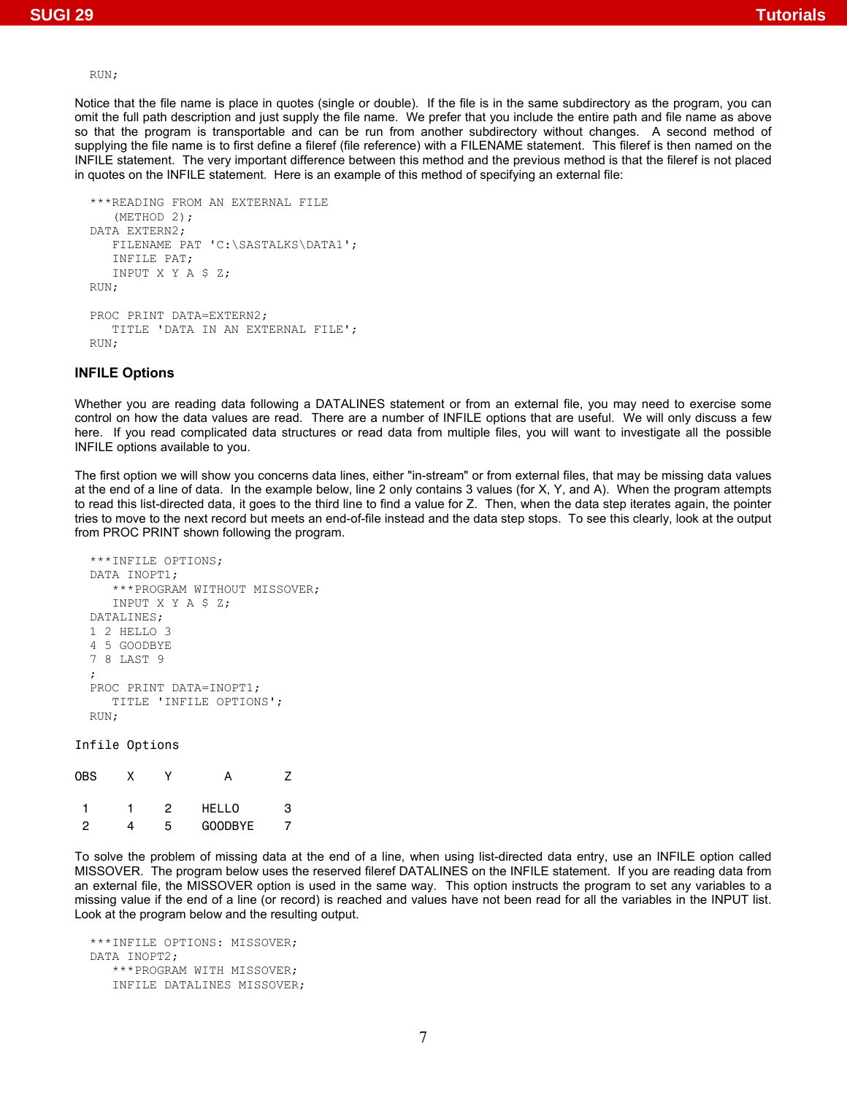#### RUN;

Notice that the file name is place in quotes (single or double). If the file is in the same subdirectory as the program, you can omit the full path description and just supply the file name. We prefer that you include the entire path and file name as above so that the program is transportable and can be run from another subdirectory without changes. A second method of supplying the file name is to first define a fileref (file reference) with a FILENAME statement. This fileref is then named on the INFILE statement. The very important difference between this method and the previous method is that the fileref is not placed in quotes on the INFILE statement. Here is an example of this method of specifying an external file:

```
***READING FROM AN EXTERNAL FILE 
    (METHOD 2); 
DATA EXTERN2; 
    FILENAME PAT 'C:\SASTALKS\DATA1'; 
    INFILE PAT; 
    INPUT X Y A $ Z; 
RUN; 
PROC PRINT DATA=EXTERN2; 
    TITLE 'DATA IN AN EXTERNAL FILE'; 
RUN;
```
## **INFILE Options**

Whether you are reading data following a DATALINES statement or from an external file, you may need to exercise some control on how the data values are read. There are a number of INFILE options that are useful. We will only discuss a few here. If you read complicated data structures or read data from multiple files, you will want to investigate all the possible INFILE options available to you.

The first option we will show you concerns data lines, either "in-stream" or from external files, that may be missing data values at the end of a line of data. In the example below, line 2 only contains 3 values (for X, Y, and A). When the program attempts to read this list-directed data, it goes to the third line to find a value for Z. Then, when the data step iterates again, the pointer tries to move to the next record but meets an end-of-file instead and the data step stops. To see this clearly, look at the output from PROC PRINT shown following the program.

```
***INFILE OPTIONS; 
DATA INOPT1; 
    ***PROGRAM WITHOUT MISSOVER; 
    INPUT X Y A $ Z; 
DATALINES; 
1 2 HELLO 3 
4 5 GOODBYE 
7 8 LAST 9 
; 
PROC PRINT DATA=INOPT1; 
    TITLE 'INFILE OPTIONS'; 
RUN;
```
#### Infile Options

| OBS | x |   |                |   |
|-----|---|---|----------------|---|
|     |   | 2 | <b>HELLO</b>   | з |
| 2   | 4 | 5 | <b>GOODBYE</b> |   |

To solve the problem of missing data at the end of a line, when using list-directed data entry, use an INFILE option called MISSOVER. The program below uses the reserved fileref DATALINES on the INFILE statement. If you are reading data from an external file, the MISSOVER option is used in the same way. This option instructs the program to set any variables to a missing value if the end of a line (or record) is reached and values have not been read for all the variables in the INPUT list. Look at the program below and the resulting output.

\*\*\*INFILE OPTIONS: MISSOVER; DATA INOPT2; \*\*\*PROGRAM WITH MISSOVER; INFILE DATALINES MISSOVER;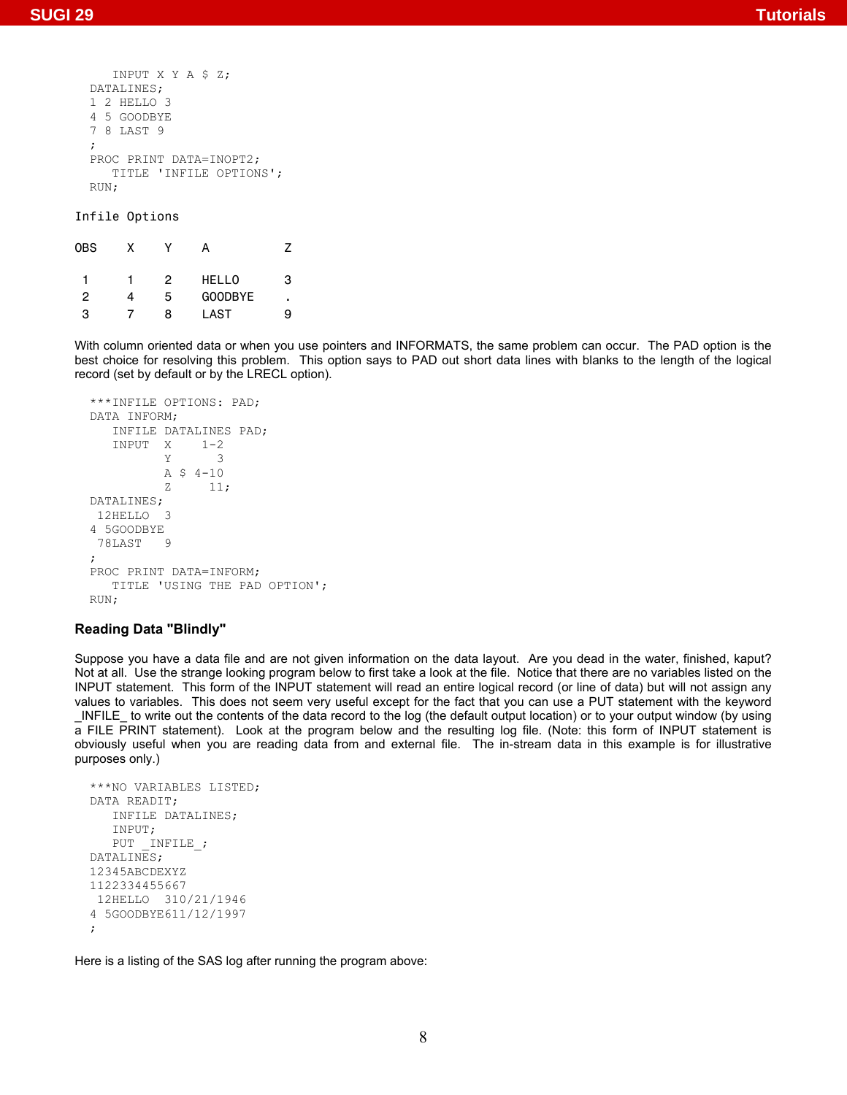```
 INPUT X Y A $ Z; 
DATALINES; 
1 2 HELLO 3 
4 5 GOODBYE 
7 8 LAST 9 
; 
PROC PRINT DATA=INOPT2; 
    TITLE 'INFILE OPTIONS'; 
RUN;
```
Infile Options

| 0BS | x |   |              |   |
|-----|---|---|--------------|---|
|     |   | 2 | <b>HELLO</b> | з |
| 2   | 4 | 5 | GOODBYE      | ٠ |
| з   |   | я | LAST         | a |

With column oriented data or when you use pointers and INFORMATS, the same problem can occur. The PAD option is the best choice for resolving this problem. This option says to PAD out short data lines with blanks to the length of the logical record (set by default or by the LRECL option).

```
***INFILE OPTIONS: PAD; 
DATA INFORM; 
    INFILE DATALINES PAD; 
    INPUT X 1-2 
 Y 3 
          A $ 4-10<br>7. 11
               11:DATALINES; 
 12HELLO 3 
4 5GOODBYE 
 78LAST 9 
; 
PROC PRINT DATA=INFORM; 
   TITLE 'USING THE PAD OPTION'; 
RUN;
```
#### **Reading Data "Blindly"**

Suppose you have a data file and are not given information on the data layout. Are you dead in the water, finished, kaput? Not at all. Use the strange looking program below to first take a look at the file. Notice that there are no variables listed on the INPUT statement. This form of the INPUT statement will read an entire logical record (or line of data) but will not assign any values to variables. This does not seem very useful except for the fact that you can use a PUT statement with the keyword \_INFILE\_ to write out the contents of the data record to the log (the default output location) or to your output window (by using a FILE PRINT statement). Look at the program below and the resulting log file. (Note: this form of INPUT statement is obviously useful when you are reading data from and external file. The in-stream data in this example is for illustrative purposes only.)

```
***NO VARIABLES LISTED; 
DATA READIT; 
    INFILE DATALINES; 
    INPUT; 
   PUT INFILE ;
DATALINES; 
12345ABCDEXYZ 
1122334455667 
 12HELLO 310/21/1946 
4 5GOODBYE611/12/1997 
;
```
Here is a listing of the SAS log after running the program above: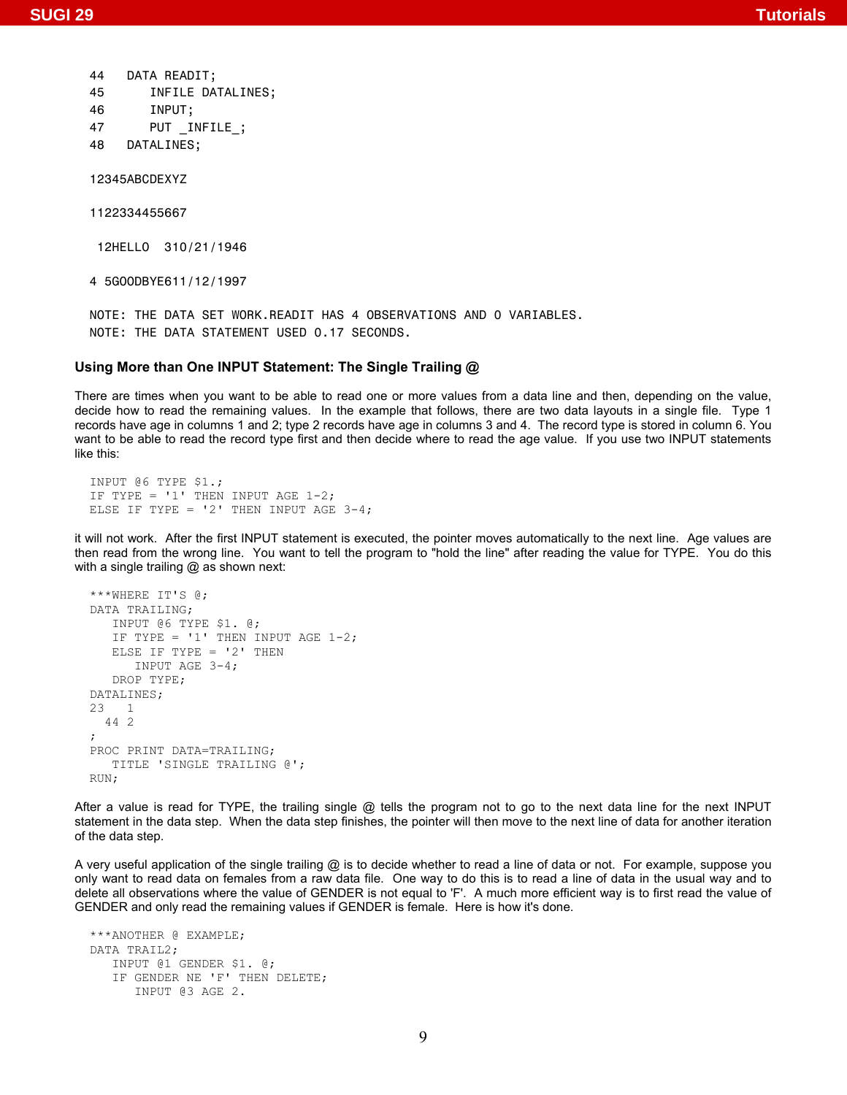```
 44 DATA READIT;
45 INFILE DATALINES;
46 INPUT;
47 PUT INFILE ;
```
48 DATALINES;

12345ABCDEXYZ

1122334455667

12HELLO 310/21/1946

4 5GOODBYE611/12/1997

NOTE: THE DATA SET WORK.READIT HAS 4 OBSERVATIONS AND 0 VARIABLES. NOTE: THE DATA STATEMENT USED 0.17 SECONDS.

### **Using More than One INPUT Statement: The Single Trailing @**

There are times when you want to be able to read one or more values from a data line and then, depending on the value, decide how to read the remaining values. In the example that follows, there are two data layouts in a single file. Type 1 records have age in columns 1 and 2; type 2 records have age in columns 3 and 4. The record type is stored in column 6. You want to be able to read the record type first and then decide where to read the age value. If you use two INPUT statements like this:

INPUT @6 TYPE \$1.; IF TYPE =  $'1'$  THEN INPUT AGE 1-2; ELSE IF TYPE =  $'2'$  THEN INPUT AGE 3-4;

it will not work. After the first INPUT statement is executed, the pointer moves automatically to the next line. Age values are then read from the wrong line. You want to tell the program to "hold the line" after reading the value for TYPE. You do this with a single trailing @ as shown next:

```
***WHERE IT'S @; 
DATA TRAILING; 
    INPUT @6 TYPE $1. @; 
   IF TYPE = '1' THEN INPUT AGE 1-2;
   ELSE IF TYPE = '2' THEN
       INPUT AGE 3-4; 
    DROP TYPE; 
DATALINES; 
23 1 
   44 2 
; 
PROC PRINT DATA=TRAILING; 
    TITLE 'SINGLE TRAILING @'; 
RUN;
```
After a value is read for TYPE, the trailing single @ tells the program not to go to the next data line for the next INPUT statement in the data step. When the data step finishes, the pointer will then move to the next line of data for another iteration of the data step.

A very useful application of the single trailing @ is to decide whether to read a line of data or not. For example, suppose you only want to read data on females from a raw data file. One way to do this is to read a line of data in the usual way and to delete all observations where the value of GENDER is not equal to 'F'. A much more efficient way is to first read the value of GENDER and only read the remaining values if GENDER is female. Here is how it's done.

```
***ANOTHER @ EXAMPLE; 
DATA TRAIL2; 
    INPUT @1 GENDER $1. @; 
    IF GENDER NE 'F' THEN DELETE; 
       INPUT @3 AGE 2.
```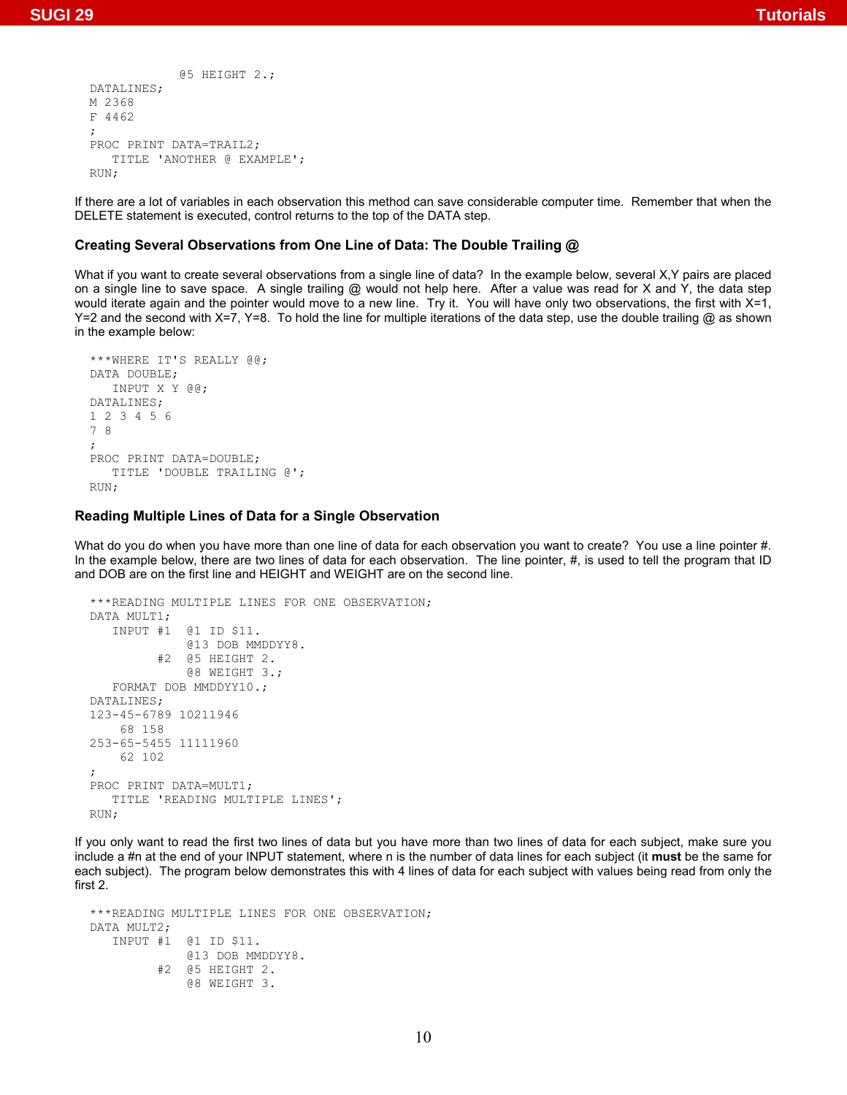```
 @5 HEIGHT 2.; 
DATALINES; 
M 2368 
F 4462 
; 
PROC PRINT DATA=TRAIL2;
    TITLE 'ANOTHER @ EXAMPLE'; 
RUN;
```
If there are a lot of variables in each observation this method can save considerable computer time. Remember that when the DELETE statement is executed, control returns to the top of the DATA step.

### **Creating Several Observations from One Line of Data: The Double Trailing @**

What if you want to create several observations from a single line of data? In the example below, several X,Y pairs are placed on a single line to save space. A single trailing @ would not help here. After a value was read for X and Y, the data step would iterate again and the pointer would move to a new line. Try it. You will have only two observations, the first with X=1,  $Y=2$  and the second with  $X=7$ ,  $Y=8$ . To hold the line for multiple iterations of the data step, use the double trailing @ as shown in the example below:

```
***WHERE IT'S REALLY @@; 
DATA DOUBLE; 
    INPUT X Y @@; 
DATALINES; 
1 2 3 4 5 6 
7 8 
; 
PROC PRINT DATA=DOUBLE; 
    TITLE 'DOUBLE TRAILING @'; 
RUN;
```
### **Reading Multiple Lines of Data for a Single Observation**

What do you do when you have more than one line of data for each observation you want to create? You use a line pointer #. In the example below, there are two lines of data for each observation. The line pointer, #, is used to tell the program that ID and DOB are on the first line and HEIGHT and WEIGHT are on the second line.

```
***READING MULTIPLE LINES FOR ONE OBSERVATION; 
DATA MULT1; 
    INPUT #1 @1 ID $11. 
               @13 DOB MMDDYY8. 
           #2 @5 HEIGHT 2. 
               @8 WEIGHT 3.; 
    FORMAT DOB MMDDYY10.; 
DATALINES; 
123-45-6789 10211946 
     68 158 
253-65-5455 11111960 
     62 102 
; 
PROC PRINT DATA=MULT1; 
    TITLE 'READING MULTIPLE LINES'; 
RUN;
```
If you only want to read the first two lines of data but you have more than two lines of data for each subject, make sure you include a #n at the end of your INPUT statement, where n is the number of data lines for each subject (it **must** be the same for each subject). The program below demonstrates this with 4 lines of data for each subject with values being read from only the first 2.

\*\*\*READING MULTIPLE LINES FOR ONE OBSERVATION; DATA MULT2; INPUT #1 @1 ID \$11. @13 DOB MMDDYY8. #2 @5 HEIGHT 2. @8 WEIGHT 3.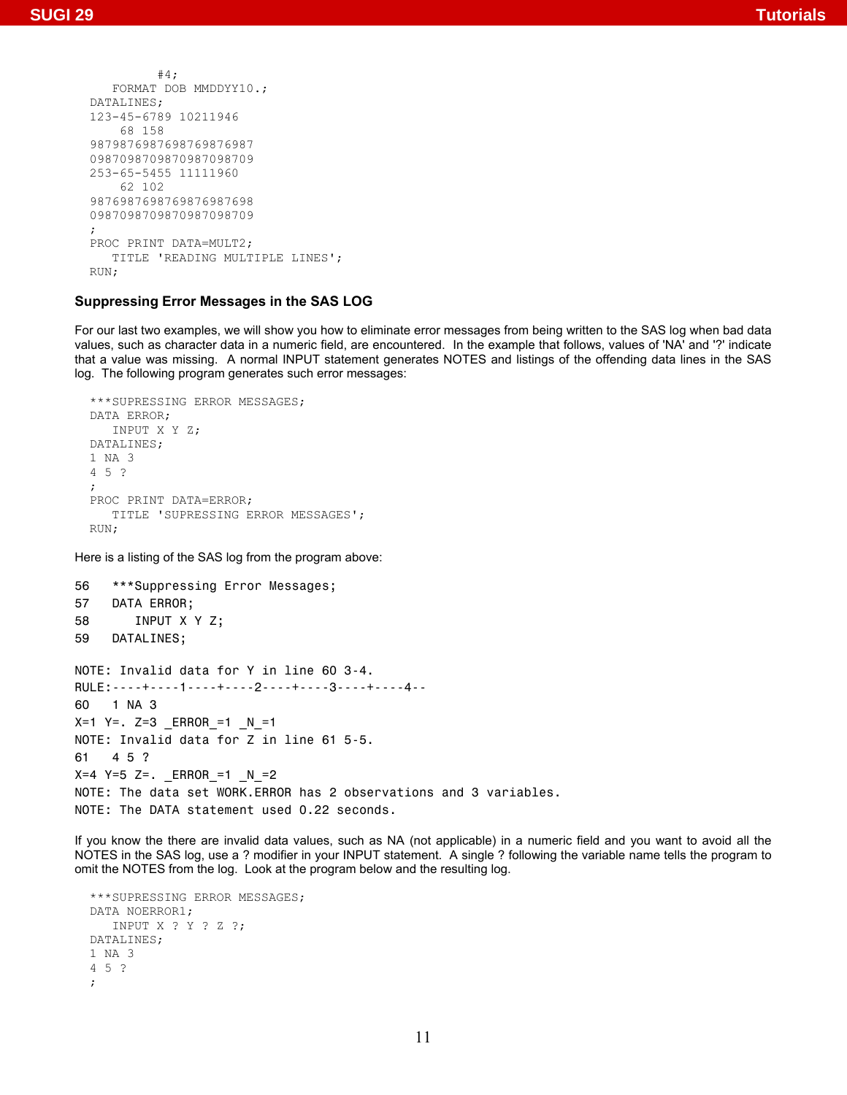```
 #4; 
    FORMAT DOB MMDDYY10.; 
DATALINES; 
123-45-6789 10211946 
     68 158 
9879876987698769876987 
0987098709870987098709 
253-65-5455 11111960 
     62 102 
9876987698769876987698 
0987098709870987098709 
; 
PROC PRINT DATA=MULT2; 
    TITLE 'READING MULTIPLE LINES'; 
RIM
```
## **Suppressing Error Messages in the SAS LOG**

For our last two examples, we will show you how to eliminate error messages from being written to the SAS log when bad data values, such as character data in a numeric field, are encountered. In the example that follows, values of 'NA' and '?' indicate that a value was missing. A normal INPUT statement generates NOTES and listings of the offending data lines in the SAS log. The following program generates such error messages:

```
***SUPRESSING ERROR MESSAGES; 
DATA ERROR; 
    INPUT X Y Z; 
DATALINES; 
1 NA 3 
4 5 ? 
; 
PROC PRINT DATA=ERROR; 
    TITLE 'SUPRESSING ERROR MESSAGES'; 
RUN;
```
Here is a listing of the SAS log from the program above:

```
56 ***Suppressing Error Messages;
57 DATA ERROR;
58 INPUT X Y Z;
59 DATALINES;
NOTE: Invalid data for Y in line 60 3-4.
RULE:----+----1----+----2----+----3----+----4--
60 1 NA 3
X=1 Y=. Z=3 _ERROR_=1 _N_=1
NOTE: Invalid data for Z in line 61 5-5.
61 4 5 ?
X=4 Y=5 Z=. _ERROR_=1 _N_=2
NOTE: The data set WORK.ERROR has 2 observations and 3 variables.
NOTE: The DATA statement used 0.22 seconds.
```
If you know the there are invalid data values, such as NA (not applicable) in a numeric field and you want to avoid all the NOTES in the SAS log, use a ? modifier in your INPUT statement. A single ? following the variable name tells the program to omit the NOTES from the log. Look at the program below and the resulting log.

```
***SUPRESSING ERROR MESSAGES; 
DATA NOERROR1; 
    INPUT X ? Y ? Z ?; 
DATALINES; 
1 NA 3 
4 5 ? 
;
```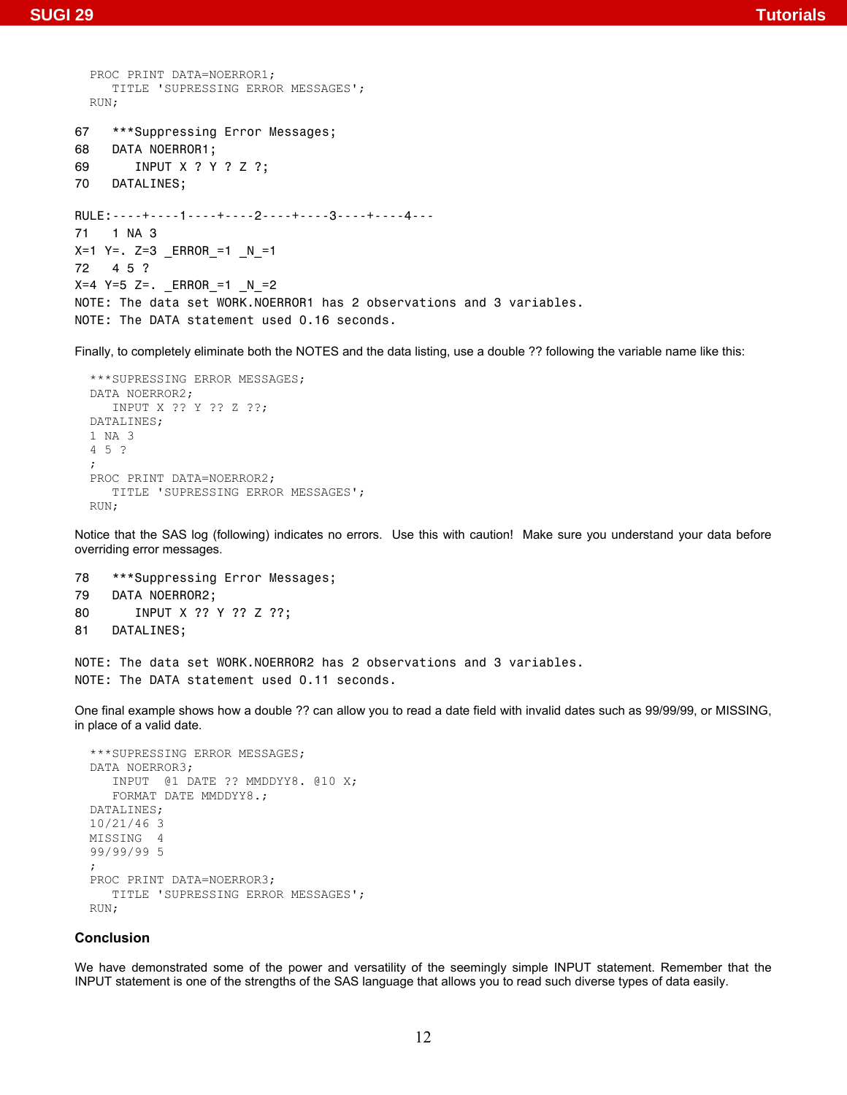```
PROC PRINT DATA=NOERROR1; 
     TITLE 'SUPRESSING ERROR MESSAGES'; 
 RUN; 
67 ***Suppressing Error Messages;
68 DATA NOERROR1;
69 INPUT X ? Y ? Z ?;
70 DATALINES;
RULE:----+----1----+----2----+----3----+----4---
71 1 NA 3
X=1 Y=. Z=3 ERROR =1 N=172 4 5 ?
X=4 Y=5 Z=. _ERROR_=1 _N_=2
NOTE: The data set WORK.NOERROR1 has 2 observations and 3 variables.
NOTE: The DATA statement used 0.16 seconds.
```
Finally, to completely eliminate both the NOTES and the data listing, use a double ?? following the variable name like this:

```
***SUPRESSING ERROR MESSAGES; 
DATA NOERROR2; 
    INPUT X ?? Y ?? Z ??; 
DATALINES; 
1 NA 3 
4 5 ? 
; 
PROC PRINT DATA=NOERROR2; 
    TITLE 'SUPRESSING ERROR MESSAGES'; 
RUN;
```
Notice that the SAS log (following) indicates no errors. Use this with caution! Make sure you understand your data before overriding error messages.

78 \*\*\*Suppressing Error Messages; 79 DATA NOERROR2; 80 INPUT X ?? Y ?? Z ??; 81 DATALINES;

```
NOTE: The data set WORK.NOERROR2 has 2 observations and 3 variables.
NOTE: The DATA statement used 0.11 seconds.
```
One final example shows how a double ?? can allow you to read a date field with invalid dates such as 99/99/99, or MISSING, in place of a valid date.

```
***SUPRESSING ERROR MESSAGES; 
DATA NOERROR3; 
    INPUT @1 DATE ?? MMDDYY8. @10 X; 
    FORMAT DATE MMDDYY8.; 
DATALINES; 
10/21/46 3 
MISSING 4 
99/99/99 5 
; 
PROC PRINT DATA=NOERROR3; 
    TITLE 'SUPRESSING ERROR MESSAGES'; 
RUN;
```
## **Conclusion**

We have demonstrated some of the power and versatility of the seemingly simple INPUT statement. Remember that the INPUT statement is one of the strengths of the SAS language that allows you to read such diverse types of data easily.